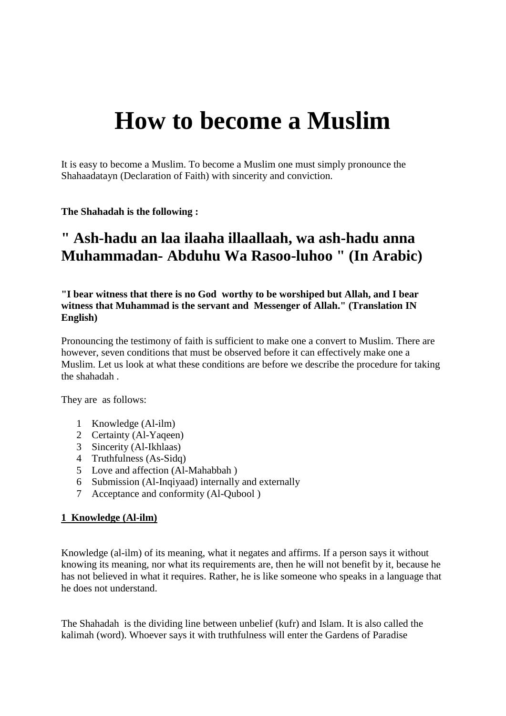# **How to become a Muslim**

It is easy to become a Muslim. To become a Muslim one must simply pronounce the Shahaadatayn (Declaration of Faith) with sincerity and conviction.

**The Shahadah is the following :**

# **" Ash-hadu an laa ilaaha illaallaah, wa ash-hadu anna Muhammadan- Abduhu Wa Rasoo-luhoo " (In Arabic)**

**"I bear witness that there is no God worthy to be worshiped but Allah, and I bear witness that Muhammad is the servant and Messenger of Allah." (Translation IN English)**

Pronouncing the testimony of faith is sufficient to make one a convert to Muslim. There are however, seven conditions that must be observed before it can effectively make one a Muslim. Let us look at what these conditions are before we describe the procedure for taking the shahadah .

They are as follows:

- 1 Knowledge (Al-ilm)
- 2 Certainty (Al-Yaqeen)
- 3 Sincerity (Al-Ikhlaas)
- 4 Truthfulness (As-Sidq)
- 5 Love and affection (Al-Mahabbah )
- 6 Submission (Al-Inqiyaad) internally and externally
- 7 Acceptance and conformity (Al-Qubool )

#### **1 Knowledge (Al-ilm)**

Knowledge (al-ilm) of its meaning, what it negates and affirms. If a person says it without knowing its meaning, nor what its requirements are, then he will not benefit by it, because he has not believed in what it requires. Rather, he is like someone who speaks in a language that he does not understand.

The Shahadah is the dividing line between unbelief (kufr) and Islam. It is also called the kalimah (word). Whoever says it with truthfulness will enter the Gardens of Paradise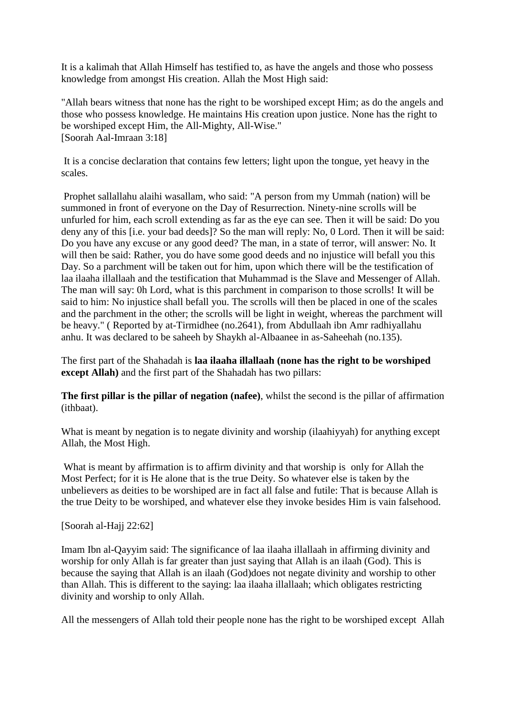It is a kalimah that Allah Himself has testified to, as have the angels and those who possess knowledge from amongst His creation. Allah the Most High said:

"Allah bears witness that none has the right to be worshiped except Him; as do the angels and those who possess knowledge. He maintains His creation upon justice. None has the right to be worshiped except Him, the All-Mighty, All-Wise." [Soorah Aal-Imraan 3:18]

It is a concise declaration that contains few letters; light upon the tongue, yet heavy in the scales.

Prophet sallallahu alaihi wasallam, who said: "A person from my Ummah (nation) will be summoned in front of everyone on the Day of Resurrection. Ninety-nine scrolls will be unfurled for him, each scroll extending as far as the eye can see. Then it will be said: Do you deny any of this [i.e. your bad deeds]? So the man will reply: No, 0 Lord. Then it will be said: Do you have any excuse or any good deed? The man, in a state of terror, will answer: No. It will then be said: Rather, you do have some good deeds and no injustice will befall you this Day. So a parchment will be taken out for him, upon which there will be the testification of laa ilaaha illallaah and the testification that Muhammad is the Slave and Messenger of Allah. The man will say: 0h Lord, what is this parchment in comparison to those scrolls! It will be said to him: No injustice shall befall you. The scrolls will then be placed in one of the scales and the parchment in the other; the scrolls will be light in weight, whereas the parchment will be heavy." ( Reported by at-Tirmidhee (no.2641), from Abdullaah ibn Amr radhiyallahu anhu. It was declared to be saheeh by Shaykh al-Albaanee in as-Saheehah (no.135).

The first part of the Shahadah is **laa ilaaha illallaah (none has the right to be worshiped except Allah)** and the first part of the Shahadah has two pillars:

**The first pillar is the pillar of negation (nafee)**, whilst the second is the pillar of affirmation (ithbaat).

What is meant by negation is to negate divinity and worship (ilaahiyyah) for anything except Allah, the Most High.

What is meant by affirmation is to affirm divinity and that worship is only for Allah the Most Perfect; for it is He alone that is the true Deity. So whatever else is taken by the unbelievers as deities to be worshiped are in fact all false and futile: That is because Allah is the true Deity to be worshiped, and whatever else they invoke besides Him is vain falsehood.

[Soorah al-Hajj 22:62]

Imam Ibn al-Qayyim said: The significance of laa ilaaha illallaah in affirming divinity and worship for only Allah is far greater than just saying that Allah is an ilaah (God). This is because the saying that Allah is an ilaah (God)does not negate divinity and worship to other than Allah. This is different to the saying: laa ilaaha illallaah; which obligates restricting divinity and worship to only Allah.

All the messengers of Allah told their people none has the right to be worshiped except Allah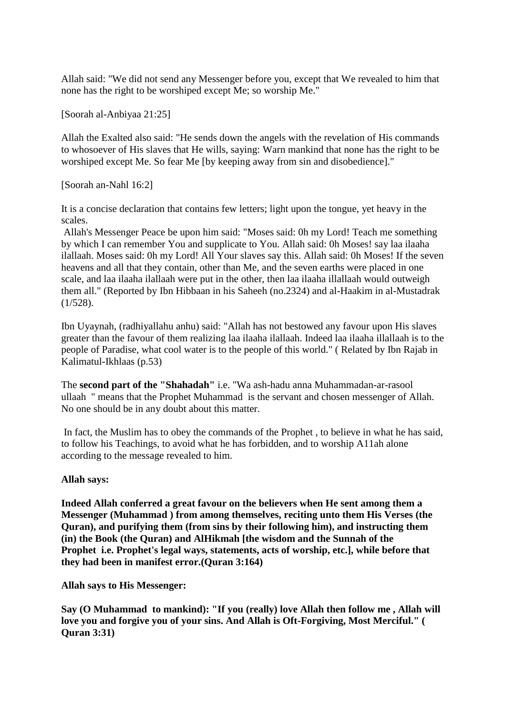Allah said: "We did not send any Messenger before you, except that We revealed to him that none has the right to be worshiped except Me; so worship Me."

[Soorah al-Anbiyaa 21:25]

Allah the Exalted also said: "He sends down the angels with the revelation of His commands to whosoever of His slaves that He wills, saying: Warn mankind that none has the right to be worshiped except Me. So fear Me [by keeping away from sin and disobedience]."

[Soorah an-Nahl 16:2]

It is a concise declaration that contains few letters; light upon the tongue, yet heavy in the scales.

Allah's Messenger Peace be upon him said: "Moses said: 0h my Lord! Teach me something by which I can remember You and supplicate to You. Allah said: 0h Moses! say laa ilaaha ilallaah. Moses said: 0h my Lord! All Your slaves say this. Allah said: 0h Moses! If the seven heavens and all that they contain, other than Me, and the seven earths were placed in one scale, and laa ilaaha ilallaah were put in the other, then laa ilaaha illallaah would outweigh them all." (Reported by Ibn Hibbaan in his Saheeh (no.2324) and al-Haakim in al-Mustadrak (1/528).

Ibn Uyaynah, (radhiyallahu anhu) said: "Allah has not bestowed any favour upon His slaves greater than the favour of them realizing laa ilaaha ilallaah. Indeed laa ilaaha illallaah is to the people of Paradise, what cool water is to the people of this world." ( Related by Ibn Rajab in Kalimatul-Ikhlaas (p.53)

The **second part of the "Shahadah"** i.e. "Wa ash-hadu anna Muhammadan-ar-rasool ullaah " means that the Prophet Muhammad is the servant and chosen messenger of Allah. No one should be in any doubt about this matter.

In fact, the Muslim has to obey the commands of the Prophet , to believe in what he has said, to follow his Teachings, to avoid what he has forbidden, and to worship A11ah alone according to the message revealed to him.

#### **Allah says:**

**Indeed Allah conferred a great favour on the believers when He sent among them a Messenger (Muhammad ) from among themselves, reciting unto them His Verses (the Quran), and purifying them (from sins by their following him), and instructing them (in) the Book (the Quran) and AlHikmah [the wisdom and the Sunnah of the Prophet i.e. Prophet's legal ways, statements, acts of worship, etc.], while before that they had been in manifest error.(Quran 3:164)** 

**Allah says to His Messenger:** 

**Say (O Muhammad to mankind): "If you (really) love Allah then follow me , Allah will love you and forgive you of your sins. And Allah is Oft-Forgiving, Most Merciful." ( Quran 3:31)**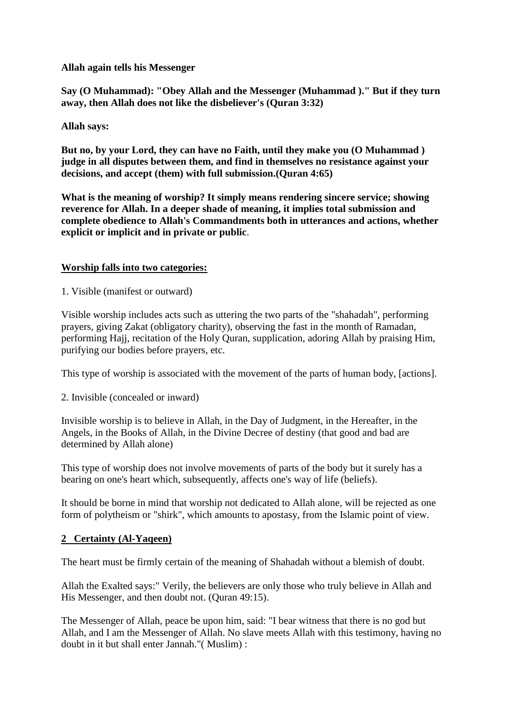#### **Allah again tells his Messenger**

**Say (O Muhammad): "Obey Allah and the Messenger (Muhammad )." But if they turn away, then Allah does not like the disbeliever's (Quran 3:32)** 

#### **Allah says:**

**But no, by your Lord, they can have no Faith, until they make you (O Muhammad ) judge in all disputes between them, and find in themselves no resistance against your decisions, and accept (them) with full submission.(Quran 4:65)** 

**What is the meaning of worship? It simply means rendering sincere service; showing reverence for Allah. In a deeper shade of meaning, it implies total submission and complete obedience to Allah's Commandments both in utterances and actions, whether explicit or implicit and in private or public**.

#### **Worship falls into two categories:**

1. Visible (manifest or outward)

Visible worship includes acts such as uttering the two parts of the "shahadah", performing prayers, giving Zakat (obligatory charity), observing the fast in the month of Ramadan, performing Hajj, recitation of the Holy Quran, supplication, adoring Allah by praising Him, purifying our bodies before prayers, etc.

This type of worship is associated with the movement of the parts of human body, [actions].

#### 2. Invisible (concealed or inward)

Invisible worship is to believe in Allah, in the Day of Judgment, in the Hereafter, in the Angels, in the Books of Allah, in the Divine Decree of destiny (that good and bad are determined by Allah alone)

This type of worship does not involve movements of parts of the body but it surely has a bearing on one's heart which, subsequently, affects one's way of life (beliefs).

It should be borne in mind that worship not dedicated to Allah alone, will be rejected as one form of polytheism or "shirk", which amounts to apostasy, from the Islamic point of view.

### **2 Certainty (Al-Yaqeen)**

The heart must be firmly certain of the meaning of Shahadah without a blemish of doubt.

Allah the Exalted says:" Verily, the believers are only those who truly believe in Allah and His Messenger, and then doubt not. (Quran 49:15).

The Messenger of Allah, peace be upon him, said: "I bear witness that there is no god but Allah, and I am the Messenger of Allah. No slave meets Allah with this testimony, having no doubt in it but shall enter Jannah."( Muslim) :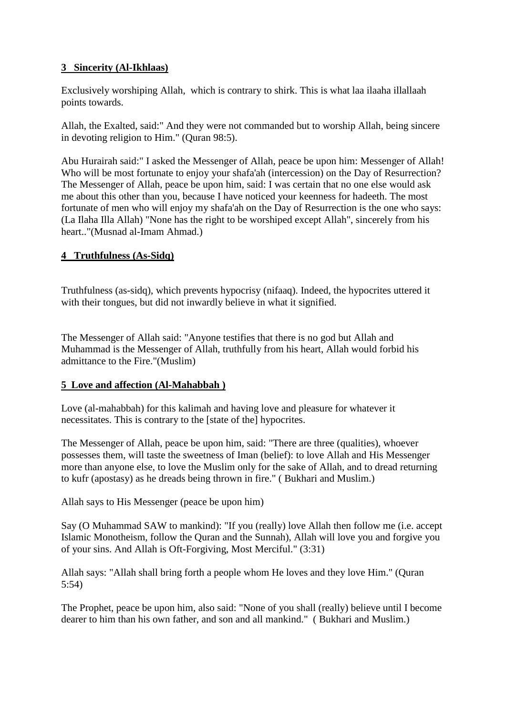# **3 Sincerity (Al-Ikhlaas)**

Exclusively worshiping Allah, which is contrary to shirk. This is what laa ilaaha illallaah points towards.

Allah, the Exalted, said:" And they were not commanded but to worship Allah, being sincere in devoting religion to Him." (Quran 98:5).

Abu Hurairah said:" I asked the Messenger of Allah, peace be upon him: Messenger of Allah! Who will be most fortunate to enjoy your shafa'ah (intercession) on the Day of Resurrection? The Messenger of Allah, peace be upon him, said: I was certain that no one else would ask me about this other than you, because I have noticed your keenness for hadeeth. The most fortunate of men who will enjoy my shafa'ah on the Day of Resurrection is the one who says: (La Ilaha Illa Allah) "None has the right to be worshiped except Allah", sincerely from his heart.."(Musnad al-Imam Ahmad.)

# **4 Truthfulness (As-Sidq)**

Truthfulness (as-sidq), which prevents hypocrisy (nifaaq). Indeed, the hypocrites uttered it with their tongues, but did not inwardly believe in what it signified.

The Messenger of Allah said: "Anyone testifies that there is no god but Allah and Muhammad is the Messenger of Allah, truthfully from his heart, Allah would forbid his admittance to the Fire."(Muslim)

### **5 Love and affection (Al-Mahabbah )**

Love (al-mahabbah) for this kalimah and having love and pleasure for whatever it necessitates. This is contrary to the [state of the] hypocrites.

The Messenger of Allah, peace be upon him, said: "There are three (qualities), whoever possesses them, will taste the sweetness of Iman (belief): to love Allah and His Messenger more than anyone else, to love the Muslim only for the sake of Allah, and to dread returning to kufr (apostasy) as he dreads being thrown in fire." ( Bukhari and Muslim.)

Allah says to His Messenger (peace be upon him)

Say (O Muhammad SAW to mankind): "If you (really) love Allah then follow me (i.e. accept Islamic Monotheism, follow the Quran and the Sunnah), Allah will love you and forgive you of your sins. And Allah is Oft-Forgiving, Most Merciful." (3:31)

Allah says: "Allah shall bring forth a people whom He loves and they love Him." (Quran 5:54)

The Prophet, peace be upon him, also said: "None of you shall (really) believe until I become dearer to him than his own father, and son and all mankind." ( Bukhari and Muslim.)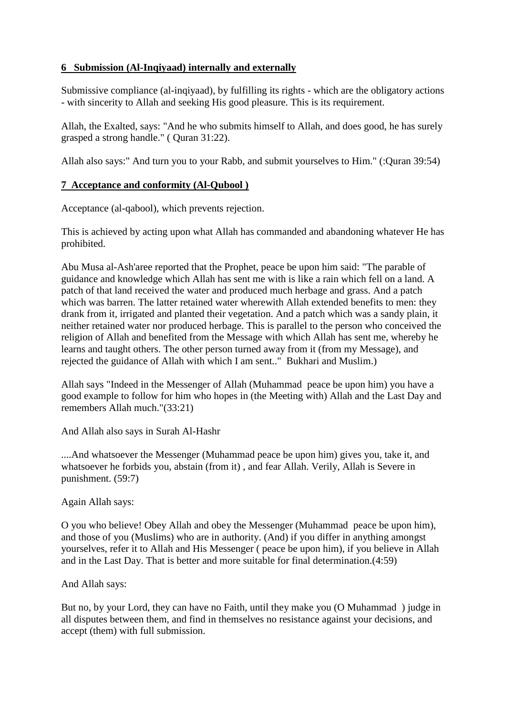# **6 Submission (Al-Inqiyaad) internally and externally**

Submissive compliance (al-inqiyaad), by fulfilling its rights - which are the obligatory actions - with sincerity to Allah and seeking His good pleasure. This is its requirement.

Allah, the Exalted, says: "And he who submits himself to Allah, and does good, he has surely grasped a strong handle." ( Quran 31:22).

Allah also says:" And turn you to your Rabb, and submit yourselves to Him." (:Quran 39:54)

#### **7 Acceptance and conformity (Al-Qubool )**

Acceptance (al-qabool), which prevents rejection.

This is achieved by acting upon what Allah has commanded and abandoning whatever He has prohibited.

Abu Musa al-Ash'aree reported that the Prophet, peace be upon him said: "The parable of guidance and knowledge which Allah has sent me with is like a rain which fell on a land. A patch of that land received the water and produced much herbage and grass. And a patch which was barren. The latter retained water wherewith Allah extended benefits to men: they drank from it, irrigated and planted their vegetation. And a patch which was a sandy plain, it neither retained water nor produced herbage. This is parallel to the person who conceived the religion of Allah and benefited from the Message with which Allah has sent me, whereby he learns and taught others. The other person turned away from it (from my Message), and rejected the guidance of Allah with which I am sent.." Bukhari and Muslim.)

Allah says "Indeed in the Messenger of Allah (Muhammad peace be upon him) you have a good example to follow for him who hopes in (the Meeting with) Allah and the Last Day and remembers Allah much."(33:21)

And Allah also says in Surah Al-Hashr

....And whatsoever the Messenger (Muhammad peace be upon him) gives you, take it, and whatsoever he forbids you, abstain (from it) , and fear Allah. Verily, Allah is Severe in punishment. (59:7)

Again Allah says:

O you who believe! Obey Allah and obey the Messenger (Muhammad peace be upon him), and those of you (Muslims) who are in authority. (And) if you differ in anything amongst yourselves, refer it to Allah and His Messenger ( peace be upon him), if you believe in Allah and in the Last Day. That is better and more suitable for final determination.(4:59)

#### And Allah says:

But no, by your Lord, they can have no Faith, until they make you (O Muhammad ) judge in all disputes between them, and find in themselves no resistance against your decisions, and accept (them) with full submission.